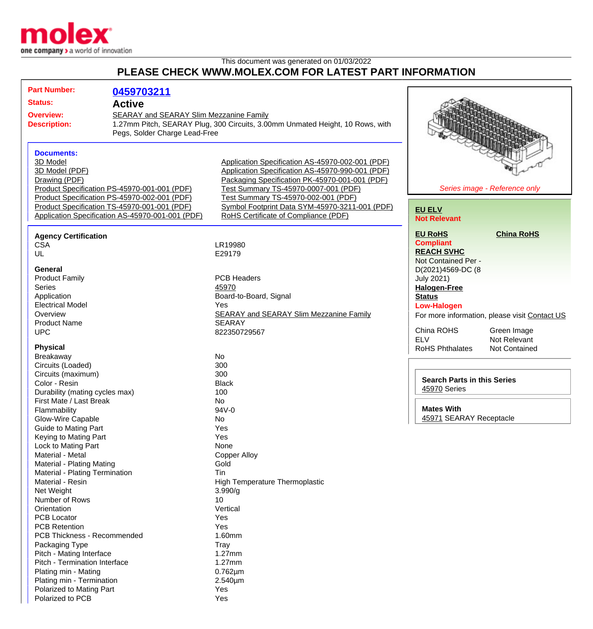

## This document was generated on 01/03/2022 **PLEASE CHECK WWW.MOLEX.COM FOR LATEST PART INFORMATION**

| <b>Part Number:</b>                              | 0459703211                                                                    |                                                                       |                                    |                                               |
|--------------------------------------------------|-------------------------------------------------------------------------------|-----------------------------------------------------------------------|------------------------------------|-----------------------------------------------|
|                                                  |                                                                               |                                                                       |                                    |                                               |
| <b>Status:</b><br><b>Active</b>                  |                                                                               |                                                                       |                                    |                                               |
| <b>Overview:</b>                                 | <b>SEARAY and SEARAY Slim Mezzanine Family</b>                                |                                                                       |                                    |                                               |
| <b>Description:</b>                              | 1.27mm Pitch, SEARAY Plug, 300 Circuits, 3.00mm Unmated Height, 10 Rows, with |                                                                       |                                    |                                               |
|                                                  | Pegs, Solder Charge Lead-Free                                                 |                                                                       |                                    |                                               |
|                                                  |                                                                               |                                                                       |                                    |                                               |
| <b>Documents:</b>                                |                                                                               |                                                                       |                                    |                                               |
| 3D Model                                         |                                                                               | Application Specification AS-45970-002-001 (PDF)                      |                                    |                                               |
| 3D Model (PDF)                                   |                                                                               | Application Specification AS-45970-990-001 (PDF)                      |                                    |                                               |
| Drawing (PDF)                                    |                                                                               | Packaging Specification PK-45970-001-001 (PDF)                        |                                    |                                               |
| Product Specification PS-45970-001-001 (PDF)     |                                                                               | Series image - Reference only<br>Test Summary TS-45970-0007-001 (PDF) |                                    |                                               |
|                                                  | Product Specification PS-45970-002-001 (PDF)                                  | Test Summary TS-45970-002-001 (PDF)                                   |                                    |                                               |
| Product Specification TS-45970-001-001 (PDF)     |                                                                               | Symbol Footprint Data SYM-45970-3211-001 (PDF)                        | <b>EU ELV</b>                      |                                               |
| Application Specification AS-45970-001-001 (PDF) |                                                                               | RoHS Certificate of Compliance (PDF)                                  | <b>Not Relevant</b>                |                                               |
|                                                  |                                                                               |                                                                       |                                    |                                               |
| <b>Agency Certification</b>                      |                                                                               |                                                                       | <b>EU RoHS</b>                     | <b>China RoHS</b>                             |
| <b>CSA</b>                                       |                                                                               | LR19980                                                               | <b>Compliant</b>                   |                                               |
| UL                                               |                                                                               | E29179                                                                | <b>REACH SVHC</b>                  |                                               |
|                                                  |                                                                               |                                                                       | Not Contained Per -                |                                               |
| <b>General</b>                                   |                                                                               |                                                                       | D(2021)4569-DC (8                  |                                               |
| <b>Product Family</b>                            |                                                                               | <b>PCB Headers</b>                                                    | <b>July 2021)</b>                  |                                               |
| <b>Series</b>                                    |                                                                               | 45970                                                                 | <b>Halogen-Free</b>                |                                               |
| Application                                      |                                                                               | Board-to-Board, Signal                                                | <b>Status</b>                      |                                               |
| <b>Electrical Model</b>                          |                                                                               | Yes                                                                   | <b>Low-Halogen</b>                 |                                               |
| Overview                                         |                                                                               | <b>SEARAY and SEARAY Slim Mezzanine Family</b>                        |                                    | For more information, please visit Contact US |
| <b>Product Name</b>                              |                                                                               | <b>SEARAY</b>                                                         |                                    |                                               |
| <b>UPC</b>                                       |                                                                               | 822350729567                                                          | China ROHS                         | Green Image                                   |
|                                                  |                                                                               |                                                                       | <b>ELV</b>                         | Not Relevant                                  |
| <b>Physical</b>                                  |                                                                               |                                                                       | <b>RoHS Phthalates</b>             | Not Contained                                 |
| Breakaway                                        |                                                                               | <b>No</b>                                                             |                                    |                                               |
| Circuits (Loaded)                                |                                                                               | 300                                                                   |                                    |                                               |
| Circuits (maximum)                               |                                                                               | 300                                                                   |                                    |                                               |
| Color - Resin                                    |                                                                               | <b>Black</b>                                                          | <b>Search Parts in this Series</b> |                                               |
| Durability (mating cycles max)                   |                                                                               | 100                                                                   | 45970 Series                       |                                               |
| First Mate / Last Break                          |                                                                               | <b>No</b>                                                             |                                    |                                               |
| Flammability                                     |                                                                               | 94V-0                                                                 | <b>Mates With</b>                  |                                               |
| Glow-Wire Capable                                |                                                                               | No                                                                    | 45971 SEARAY Receptacle            |                                               |
| <b>Guide to Mating Part</b>                      |                                                                               | Yes                                                                   |                                    |                                               |
| Keying to Mating Part                            |                                                                               | Yes                                                                   |                                    |                                               |
| Lock to Mating Part                              |                                                                               | None                                                                  |                                    |                                               |
| Material - Metal                                 |                                                                               | <b>Copper Alloy</b>                                                   |                                    |                                               |
| <b>Material - Plating Mating</b>                 |                                                                               | Gold                                                                  |                                    |                                               |
| Material - Plating Termination                   |                                                                               | Tin                                                                   |                                    |                                               |
| Material - Resin                                 |                                                                               | <b>High Temperature Thermoplastic</b>                                 |                                    |                                               |
| Net Weight                                       |                                                                               | 3.990/g                                                               |                                    |                                               |
| Number of Rows                                   |                                                                               | 10                                                                    |                                    |                                               |
| Orientation                                      |                                                                               | Vertical                                                              |                                    |                                               |
| <b>PCB Locator</b>                               |                                                                               | Yes                                                                   |                                    |                                               |
| <b>PCB Retention</b>                             |                                                                               | Yes                                                                   |                                    |                                               |
| <b>PCB Thickness - Recommended</b>               |                                                                               | 1.60mm                                                                |                                    |                                               |
| Packaging Type                                   |                                                                               | <b>Tray</b>                                                           |                                    |                                               |
| Pitch - Mating Interface                         |                                                                               | 1.27mm                                                                |                                    |                                               |
| Pitch - Termination Interface                    |                                                                               | 1.27mm                                                                |                                    |                                               |
| Plating min - Mating                             |                                                                               | $0.762 \mu m$                                                         |                                    |                                               |
| Plating min - Termination                        |                                                                               | 2.540µm                                                               |                                    |                                               |
| Polarized to Mating Part                         |                                                                               | Yes                                                                   |                                    |                                               |
| Polarized to PCB                                 |                                                                               | Yes                                                                   |                                    |                                               |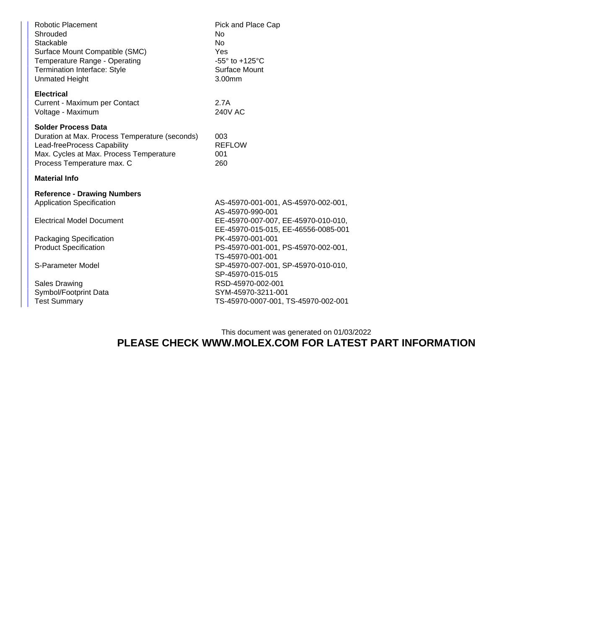| <b>Robotic Placement</b><br>Shrouded<br>Stackable<br>Surface Mount Compatible (SMC)<br>Temperature Range - Operating<br><b>Termination Interface: Style</b><br><b>Unmated Height</b> | Pick and Place Cap<br>No<br>No<br>Yes<br>-55 $\degree$ to +125 $\degree$ C<br>Surface Mount<br>3.00mm |
|--------------------------------------------------------------------------------------------------------------------------------------------------------------------------------------|-------------------------------------------------------------------------------------------------------|
| <b>Electrical</b><br>Current - Maximum per Contact<br>Voltage - Maximum                                                                                                              | 2.7A<br><b>240V AC</b>                                                                                |
| Solder Process Data<br>Duration at Max. Process Temperature (seconds)<br>Lead-freeProcess Capability<br>Max. Cycles at Max. Process Temperature<br>Process Temperature max. C        | 003<br><b>REFLOW</b><br>001<br>260                                                                    |
| Material Info                                                                                                                                                                        |                                                                                                       |
| <b>Reference - Drawing Numbers</b>                                                                                                                                                   |                                                                                                       |
| <b>Application Specification</b>                                                                                                                                                     | AS-45970-001-001, AS-45970-002-001,<br>AS-45970-990-001                                               |
| <b>Electrical Model Document</b>                                                                                                                                                     | EE-45970-007-007, EE-45970-010-010,<br>EE-45970-015-015, EE-46556-0085-001                            |
| Packaging Specification                                                                                                                                                              | PK-45970-001-001                                                                                      |
| <b>Product Specification</b>                                                                                                                                                         | PS-45970-001-001, PS-45970-002-001,<br>TS-45970-001-001                                               |
| S-Parameter Model                                                                                                                                                                    | SP-45970-007-001, SP-45970-010-010,<br>SP-45970-015-015                                               |
| <b>Sales Drawing</b>                                                                                                                                                                 | RSD-45970-002-001                                                                                     |
| Symbol/Footprint Data                                                                                                                                                                | SYM-45970-3211-001                                                                                    |
| <b>Test Summary</b>                                                                                                                                                                  | TS-45970-0007-001, TS-45970-002-001                                                                   |
|                                                                                                                                                                                      |                                                                                                       |

## This document was generated on 01/03/2022 **PLEASE CHECK WWW.MOLEX.COM FOR LATEST PART INFORMATION**